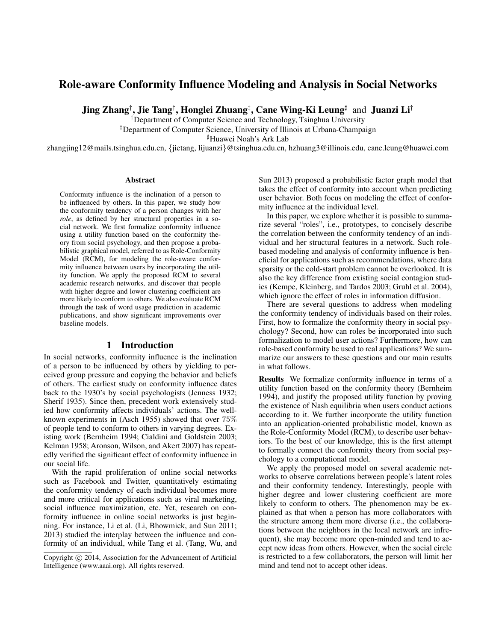# Role-aware Conformity Influence Modeling and Analysis in Social Networks

Jing Zhang†, Jie Tang†, Honglei Zhuang‡, Cane Wing-Ki Leung‡ and Juanzi Li†

†Department of Computer Science and Technology, Tsinghua University

‡Department of Computer Science, University of Illinois at Urbana-Champaign

]Huawei Noah's Ark Lab

zhangjing12@mails.tsinghua.edu.cn, {jietang, lijuanzi}@tsinghua.edu.cn, hzhuang3@illinois.edu, cane.leung@huawei.com

#### Abstract

Conformity influence is the inclination of a person to be influenced by others. In this paper, we study how the conformity tendency of a person changes with her *role*, as defined by her structural properties in a social network. We first formalize conformity influence using a utility function based on the conformity theory from social psychology, and then propose a probabilistic graphical model, referred to as Role-Conformity Model (RCM), for modeling the role-aware conformity influence between users by incorporating the utility function. We apply the proposed RCM to several academic research networks, and discover that people with higher degree and lower clustering coefficient are more likely to conform to others. We also evaluate RCM through the task of word usage prediction in academic publications, and show significant improvements over baseline models.

### 1 Introduction

In social networks, conformity influence is the inclination of a person to be influenced by others by yielding to perceived group pressure and copying the behavior and beliefs of others. The earliest study on conformity influence dates back to the 1930's by social psychologists (Jenness 1932; Sherif 1935). Since then, precedent work extensively studied how conformity affects individuals' actions. The wellknown experiments in (Asch 1955) showed that over 75% of people tend to conform to others in varying degrees. Existing work (Bernheim 1994; Cialdini and Goldstein 2003; Kelman 1958; Aronson, Wilson, and Akert 2007) has repeatedly verified the significant effect of conformity influence in our social life.

With the rapid proliferation of online social networks such as Facebook and Twitter, quantitatively estimating the conformity tendency of each individual becomes more and more critical for applications such as viral marketing, social influence maximization, etc. Yet, research on conformity influence in online social networks is just beginning. For instance, Li et al. (Li, Bhowmick, and Sun 2011; 2013) studied the interplay between the influence and conformity of an individual, while Tang et al. (Tang, Wu, and

Sun 2013) proposed a probabilistic factor graph model that takes the effect of conformity into account when predicting user behavior. Both focus on modeling the effect of conformity influence at the individual level.

In this paper, we explore whether it is possible to summarize several "roles", i.e., prototypes, to concisely describe the correlation between the conformity tendency of an individual and her structural features in a network. Such rolebased modeling and analysis of conformity influence is beneficial for applications such as recommendations, where data sparsity or the cold-start problem cannot be overlooked. It is also the key difference from existing social contagion studies (Kempe, Kleinberg, and Tardos 2003; Gruhl et al. 2004), which ignore the effect of roles in information diffusion.

There are several questions to address when modeling the conformity tendency of individuals based on their roles. First, how to formalize the conformity theory in social psychology? Second, how can roles be incorporated into such formalization to model user actions? Furthermore, how can role-based conformity be used to real applications? We summarize our answers to these questions and our main results in what follows.

Results We formalize conformity influence in terms of a utility function based on the conformity theory (Bernheim 1994), and justify the proposed utility function by proving the existence of Nash equilibria when users conduct actions according to it. We further incorporate the utility function into an application-oriented probabilistic model, known as the Role-Conformity Model (RCM), to describe user behaviors. To the best of our knowledge, this is the first attempt to formally connect the conformity theory from social psychology to a computational model.

We apply the proposed model on several academic networks to observe correlations between people's latent roles and their conformity tendency. Interestingly, people with higher degree and lower clustering coefficient are more likely to conform to others. The phenomenon may be explained as that when a person has more collaborators with the structure among them more diverse (i.e., the collaborations between the neighbors in the local network are infrequent), she may become more open-minded and tend to accept new ideas from others. However, when the social circle is restricted to a few collaborators, the person will limit her mind and tend not to accept other ideas.

Copyright (c) 2014, Association for the Advancement of Artificial Intelligence (www.aaai.org). All rights reserved.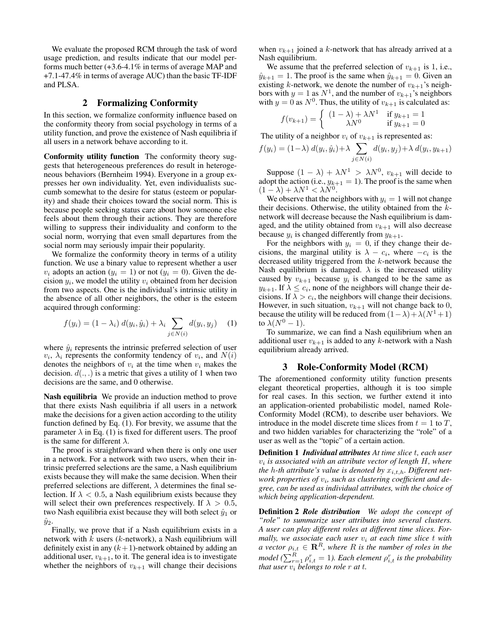We evaluate the proposed RCM through the task of word usage prediction, and results indicate that our model performs much better (+3.6-4.1% in terms of average MAP and +7.1-47.4% in terms of average AUC) than the basic TF-IDF and PLSA.

### 2 Formalizing Conformity

In this section, we formalize conformity influence based on the conformity theory from social psychology in terms of a utility function, and prove the existence of Nash equilibria if all users in a network behave according to it.

Conformity utility function The conformity theory suggests that heterogeneous preferences do result in heterogeneous behaviors (Bernheim 1994). Everyone in a group expresses her own individuality. Yet, even individualists succumb somewhat to the desire for status (esteem or popularity) and shade their choices toward the social norm. This is because people seeking status care about how someone else feels about them through their actions. They are therefore willing to suppress their individuality and conform to the social norm, worrying that even small departures from the social norm may seriously impair their popularity.

We formalize the conformity theory in terms of a utility function. We use a binary value to represent whether a user  $v_i$  adopts an action  $(y_i = 1)$  or not  $(y_i = 0)$ . Given the decision  $y_i$ , we model the utility  $v_i$  obtained from her decision from two aspects. One is the individual's intrinsic utility in the absence of all other neighbors, the other is the esteem acquired through conforming:

$$
f(y_i) = (1 - \lambda_i) d(y_i, \hat{y}_i) + \lambda_i \sum_{j \in N(i)} d(y_i, y_j)
$$
 (1)

where  $\hat{y}_i$  represents the intrinsic preferred selection of user  $v_i$ ,  $\lambda_i$  represents the conformity tendency of  $v_i$ , and  $N(i)$ denotes the neighbors of  $v_i$  at the time when  $v_i$  makes the decision.  $d(.,.)$  is a metric that gives a utility of 1 when two decisions are the same, and 0 otherwise.

Nash equilibria We provide an induction method to prove that there exists Nash equilibria if all users in a network make the decisions for a given action according to the utility function defined by Eq. (1). For brevity, we assume that the parameter  $\lambda$  in Eq. (1) is fixed for different users. The proof is the same for different  $\lambda$ .

The proof is straightforward when there is only one user in a network. For a network with two users, when their intrinsic preferred selections are the same, a Nash equilibrium exists because they will make the same decision. When their preferred selections are different,  $\lambda$  determines the final selection. If  $\lambda < 0.5$ , a Nash equilibrium exists because they will select their own preferences respectively. If  $\lambda > 0.5$ , two Nash equilibria exist because they will both select  $\hat{y}_1$  or  $\hat{y}_2$ .

Finally, we prove that if a Nash equilibrium exists in a network with  $k$  users ( $k$ -network), a Nash equilibrium will definitely exist in any  $(k+1)$ -network obtained by adding an additional user,  $v_{k+1}$ , to it. The general idea is to investigate whether the neighbors of  $v_{k+1}$  will change their decisions

when  $v_{k+1}$  joined a k-network that has already arrived at a Nash equilibrium.

We assume that the preferred selection of  $v_{k+1}$  is 1, i.e.,  $\hat{y}_{k+1} = 1$ . The proof is the same when  $\hat{y}_{k+1} = 0$ . Given an existing k-network, we denote the number of  $v_{k+1}$ 's neighbors with  $y = 1$  as  $N^1$ , and the number of  $v_{k+1}$ 's neighbors with  $y = 0$  as  $N^0$ . Thus, the utility of  $v_{k+1}$  is calculated as:

$$
f(v_{k+1}) = \begin{cases} (1 - \lambda) + \lambda N^1 & \text{if } y_{k+1} = 1 \\ \lambda N^0 & \text{if } y_{k+1} = 0 \end{cases}
$$

The utility of a neighbor  $v_i$  of  $v_{k+1}$  is represented as:

$$
f(y_i) = (1 - \lambda) d(y_i, \hat{y}_i) + \lambda \sum_{j \in N(i)} d(y_i, y_j) + \lambda d(y_i, y_{k+1})
$$

Suppose  $(1 - \lambda) + \lambda N^1 > \lambda N^0$ ,  $v_{k+1}$  will decide to adopt the action (i.e.,  $y_{k+1} = 1$ ). The proof is the same when  $(1 - \lambda) + \lambda N^1 < \lambda N^0$ .

We observe that the neighbors with  $y_i = 1$  will not change their decisions. Otherwise, the utility obtained from the  $k$ network will decrease because the Nash equilibrium is damaged, and the utility obtained from  $v_{k+1}$  will also decrease because  $y_i$  is changed differently from  $y_{k+1}$ .

For the neighbors with  $y_i = 0$ , if they change their decisions, the marginal utility is  $\lambda - c_i$ , where  $-c_i$  is the decreased utility triggered from the k-network because the Nash equilibrium is damaged.  $\lambda$  is the increased utility caused by  $v_{k+1}$  because  $y_i$  is changed to be the same as  $y_{k+1}$ . If  $\lambda \leq c_i$ , none of the neighbors will change their decisions. If  $\lambda > c_i$ , the neighbors will change their decisions. However, in such situation,  $v_{k+1}$  will not change back to 0, because the utility will be reduced from  $(1 - \lambda) + \lambda(N^1 + 1)$ to  $\lambda(N^0-1)$ .

To summarize, we can find a Nash equilibrium when an additional user  $v_{k+1}$  is added to any k-network with a Nash equilibrium already arrived.

#### 3 Role-Conformity Model (RCM)

The aforementioned conformity utility function presents elegant theoretical properties, although it is too simple for real cases. In this section, we further extend it into an application-oriented probabilistic model, named Role-Conformity Model (RCM), to describe user behaviors. We introduce in the model discrete time slices from  $t = 1$  to  $T$ , and two hidden variables for characterizing the "role" of a user as well as the "topic" of a certain action.

Definition 1 *Individual attributes At time slice* t*, each user* vi *is associated with an attribute vector of length* H*, where the h-th attribute's value is denoted by*  $x_{i,t,h}$ *. Different network properties of* v<sup>i</sup> *, such as clustering coefficient and degree, can be used as individual attributes, with the choice of which being application-dependent.*

Definition 2 *Role distribution We adopt the concept of "role" to summarize user attributes into several clusters. A user can play different roles at different time slices. Formally, we associate each user*  $v_i$  *at each time slice t with a vector*  $\rho_{i,t} \in \mathbb{R}^R$ , where R is the number of roles in the  $\emph{model }$  ( $\sum_{r=1}^{R} \rho_{i,t}^{r} = 1$ ). Each element  $\rho_{i,t}^{r}$  is the probability *that user* v<sup>i</sup> *belongs to role* r *at* t*.*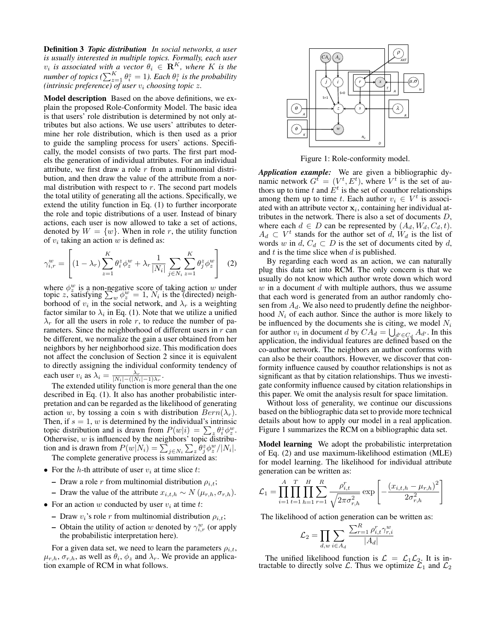Definition 3 *Topic distribution In social networks, a user is usually interested in multiple topics. Formally, each user*  $v_i$  *is associated with a vector*  $\theta_i \in \mathbb{R}^K$ *, where* K *is the number of topics* ( $\sum_{z=1}^{K} \theta_i^z = 1$ ). Each  $\theta_i^z$  is the probability *(intrinsic preference) of user* v<sup>i</sup> *choosing topic* z*.*

Model description Based on the above definitions, we explain the proposed Role-Conformity Model. The basic idea is that users' role distribution is determined by not only attributes but also actions. We use users' attributes to determine her role distribution, which is then used as a prior to guide the sampling process for users' actions. Specifically, the model consists of two parts. The first part models the generation of individual attributes. For an individual attribute, we first draw a role  $r$  from a multinomial distribution, and then draw the value of the attribute from a normal distribution with respect to  $r$ . The second part models the total utility of generating all the actions. Specifically, we extend the utility function in Eq. (1) to further incorporate the role and topic distributions of a user. Instead of binary actions, each user is now allowed to take a set of actions, denoted by  $W = \{w\}$ . When in role r, the utility function of  $v_i$  taking an action  $w$  is defined as:

$$
\gamma_{i,r}^w = \left[ (1 - \lambda_r) \sum_{z=1}^K \theta_i^z \phi_z^w + \lambda_r \frac{1}{|N_i|} \sum_{j \in N_i} \sum_{z=1}^K \theta_j^z \phi_z^w \right] \tag{2}
$$

where  $\phi_z^w$  is a non-negative score of taking action w under topic z, satisfying  $\sum_{w} \phi_{z}^{w} = 1$ ,  $N_i$  is the (directed) neighborhood of  $v_i$  in the social network, and  $\lambda_r$  is a weighting factor similar to  $\lambda_i$  in Eq. (1). Note that we utilize a unified  $\lambda_r$  for all the users in role r, to reduce the number of parameters. Since the neighborhood of different users in  $r$  can be different, we normalize the gain a user obtained from her neighbors by her neighborhood size. This modification does not affect the conclusion of Section 2 since it is equivalent to directly assigning the individual conformity tendency of each user  $v_i$  as  $\lambda_i = \frac{\lambda_r}{|N_i| - (|N_i| - 1)\lambda_r}$ .

The extended utility function is more general than the one described in Eq. (1). It also has another probabilistic interpretation and can be regarded as the likelihood of generating action w, by tossing a coin s with distribution  $Bern(\lambda_r)$ . Then, if  $s = 1$ , w is determined by the individual's intrinsic topic distribution and is drawn from  $P(w|i) = \sum_{z} \theta_i^z \phi_z^w$ . Otherwise,  $w$  is influenced by the neighbors' topic distribution and is drawn from  $P(w|N_i) = \sum_{j \in N_i} \sum_{z} \theta_j^z \phi_z^w / |N_i|$ .

The complete generative process is summarized as:

- For the h-th attribute of user  $v_i$  at time slice t:
	- Draw a role r from multinomial distribution  $\rho_{i,t}$ ;
	- Draw the value of the attribute  $x_{i,t,h} \sim N(\mu_{r,h}, \sigma_{r,h}).$
- For an action w conducted by user  $v_i$  at time t:
	- Draw  $v_i$ 's role r from multinomial distribution  $\rho_{i,t}$ ;
	- Obtain the utility of action w denoted by  $\gamma_{i,r}^w$  (or apply the probabilistic interpretation here).

For a given data set, we need to learn the parameters  $\rho_{i,t}$ ,  $\mu_{r,h}, \sigma_{r,h}$ , as well as  $\theta_i$ ,  $\phi_z$  and  $\lambda_r$ . We provide an application example of RCM in what follows.



Figure 1: Role-conformity model.

*Application example:* We are given a bibliographic dynamic network  $G^{\bar{t}} = (V^t, E^t)$ , where  $V^t$  is the set of authors up to time t and  $\dot{E}^t$  is the set of coauthor relationships among them up to time t. Each author  $v_i \in V^t$  is associated with an attribute vector  $x_i$ , containing her individual attributes in the network. There is also a set of documents D, where each  $d \in D$  can be represented by  $(A_d, W_d, C_d, t)$ .  $A_d \,\subset V^t$  stands for the author set of d,  $W_d$  is the list of words w in  $d$ ,  $C_d \subset D$  is the set of documents cited by d, and  $t$  is the time slice when  $d$  is published.

By regarding each word as an action, we can naturally plug this data set into RCM. The only concern is that we usually do not know which author wrote down which word  $w$  in a document  $d$  with multiple authors, thus we assume that each word is generated from an author randomly chosen from  $A_d$ . We also need to prudently define the neighborhood  $N_i$  of each author. Since the author is more likely to be influenced by the documents she is citing, we model  $N_i$ for author  $v_i$  in document d by  $CA_d = \bigcup_{d' \in C_d} A_{d'}$ . In this application, the individual features are defined based on the co-author network. The neighbors an author conforms with can also be their coauthors. However, we discover that conformity influence caused by coauthor relationships is not as significant as that by citation relationships. Thus we investigate conformity influence caused by citation relationships in this paper. We omit the analysis result for space limitation.

Without loss of generality, we continue our discussions based on the bibliographic data set to provide more technical details about how to apply our model in a real application. Figure 1 summarizes the RCM on a bibliographic data set.

Model learning We adopt the probabilistic interpretation of Eq. (2) and use maximum-likelihood estimation (MLE) for model learning. The likelihood for individual attribute generation can be written as:

$$
\mathcal{L}_1 = \prod_{i=1}^A \prod_{t=1}^T \prod_{h=1}^H \sum_{r=1}^R \frac{\rho_{i,t}^r}{\sqrt{2\pi\sigma_{r,h}^2}} \exp \left[ -\frac{(x_{i,t,h} - \mu_{r,h})^2}{2\sigma_{r,h}^2} \right]
$$

The likelihood of action generation can be written as:

$$
\mathcal{L}_2 = \prod_{d,w} \sum_{i \in A_d} \frac{\sum_{r=1}^R \rho_{i,t}^r \gamma_{r,i}^w}{|A_d|}
$$

The unified likelihood function is  $\mathcal{L} = \mathcal{L}_1 \mathcal{L}_2$ . It is intractable to directly solve  $\mathcal{L}$ . Thus we optimize  $\mathcal{L}_1$  and  $\mathcal{L}_2$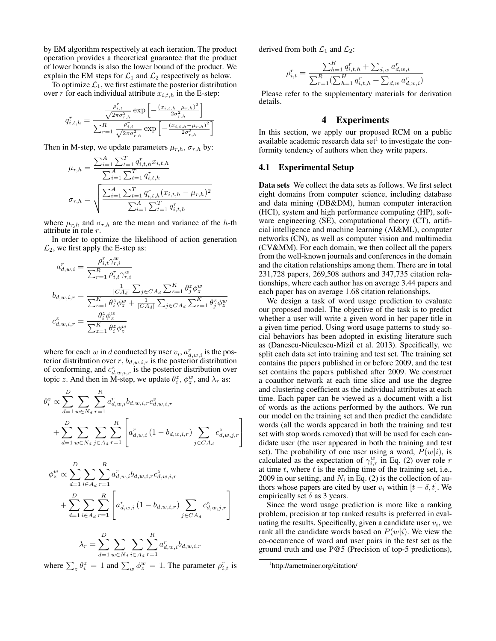by EM algorithm respectively at each iteration. The product operation provides a theoretical guarantee that the product of lower bounds is also the lower bound of the product. We explain the EM steps for  $\mathcal{L}_1$  and  $\mathcal{L}_2$  respectively as below.

To optimize  $\mathcal{L}_1$ , we first estimate the posterior distribution over r for each individual attribute  $x_{i,t,h}$  in the E-step:

$$
q_{i,t,h}^r = \frac{\frac{\rho_{i,t}^r}{\sqrt{2\pi\sigma_{r,h}^2}} \exp\left[-\frac{(x_{i,t,h}-\mu_{r,h})^2}{2\sigma_{r,h}^2}\right]}{\sum_{r=1}^R \frac{\rho_{i,t}^r}{\sqrt{2\pi\sigma_{r,h}^2}} \exp\left[-\frac{(x_{i,t,h}-\mu_{r,h})^2}{2\sigma_{r,h}^2}\right]}
$$

Then in M-step, we update parameters  $\mu_{r,h}$ ,  $\sigma_{r,h}$  by:

$$
\mu_{r,h} = \frac{\sum_{i=1}^{A} \sum_{t=1}^{T} q_{i,t,h}^{r} x_{i,t,h}}{\sum_{i=1}^{A} \sum_{t=1}^{T} q_{i,t,h}^{r}}
$$

$$
\sigma_{r,h} = \sqrt{\frac{\sum_{i=1}^{A} \sum_{t=1}^{T} q_{i,t,h}^{r} (x_{i,t,h} - \mu_{r,h})^2}{\sum_{i=1}^{A} \sum_{t=1}^{T} q_{i,t,h}^{r}}}
$$

where  $\mu_{r,h}$  and  $\sigma_{r,h}$  are the mean and variance of the h-th attribute in role r.

In order to optimize the likelihood of action generation  $\mathcal{L}_2$ , we first apply the E-step as:

$$
a_{d,w,i}^r = \frac{\rho_{i,t}^r \gamma_{r,i}^w}{\sum_{r=1}^R \rho_{i,t}^r \gamma_{r,i}^w}
$$
  
\n
$$
b_{d,w,i,r} = \frac{\frac{1}{|CA_d|} \sum_{j \in CA_d} \sum_{z=1}^K \theta_j^z \phi_z^w}{\sum_{z=1}^K \theta_i^z \phi_z^w + \frac{1}{|CA_d|} \sum_{j \in CA_d} \sum_{z=1}^K \theta_j^z \phi_z^w}
$$
  
\n
$$
c_{d,w,i,r}^z = \frac{\theta_i^z \phi_z^w}{\sum_{z=1}^K \theta_i^z \phi_z^w}
$$

where for each w in d conducted by user  $v_i$ ,  $a_{d,w,i}^r$  is the posterior distribution over  $r$ ,  $b_{d,w,i,r}$  is the posterior distribution of conforming, and  $c_{d,w,i,r}^z$  is the posterior distribution over topic z. And then in M-step, we update  $\theta_i^z$ ,  $\phi_z^w$ , and  $\lambda_r$  as:

$$
\theta_i^z \propto \sum_{d=1}^D \sum_{w \in N_d} \sum_{r=1}^R a_{d,w,i}^r b_{d,w,i,r} c_{d,w,i,r}^z
$$
  
+ 
$$
\sum_{d=1}^D \sum_{w \in N_d} \sum_{j \in A_d} \sum_{r=1}^R \left[ a_{d,w,i}^r (1 - b_{d,w,i,r}) \sum_{j \in CA_d} c_{d,w,j,r}^z \right]
$$

$$
\phi_z^w \propto \sum_{d=1}^D \sum_{i \in A_d} \sum_{r=1}^R a_{d,w,i}^r b_{d,w,i,r} c_{d,w,i,r}^z
$$
  
+ 
$$
\sum_{d=1}^D \sum_{i \in A_d} \sum_{r=1}^R \left[ a_{d,w,i}^r (1 - b_{d,w,i,r}) \sum_{j \in CA_d} c_{d,w,j,r}^z \right]
$$

$$
\lambda_r = \sum_{d=1}^{D} \sum_{w \in N_d} \sum_{i \in A_d} \sum_{r=1}^{R} a_{d,w,i}^r b_{d,w,i,r}
$$

where  $\sum_{z} \theta_i^z = 1$  and  $\sum_{w} \phi_z^w = 1$ . The parameter  $\rho_{i,t}^r$  is

derived from both  $\mathcal{L}_1$  and  $\mathcal{L}_2$ :

$$
\rho_{i,t}^r = \frac{\sum_{h=1}^H q_{i,t,h}^r + \sum_{d,w} a_{d,w,i}^r}{\sum_{r=1}^R (\sum_{h=1}^H q_{i,t,h}^r + \sum_{d,w} a_{d,w,i}^r)}
$$

Please refer to the supplementary materials for derivation details.

### 4 Experiments

In this section, we apply our proposed RCM on a public available academic research data set $<sup>1</sup>$  to investigate the con-</sup> formity tendency of authors when they write papers.

#### 4.1 Experimental Setup

Data sets We collect the data sets as follows. We first select eight domains from computer science, including database and data mining (DB&DM), human computer interaction (HCI), system and high performance computing (HP), software engineering (SE), computational theory (CT), artificial intelligence and machine learning (AI&ML), computer networks (CN), as well as computer vision and multimedia (CV&MM). For each domain, we then collect all the papers from the well-known journals and conferences in the domain and the citation relationships among them. There are in total 231,728 papers, 269,508 authors and 347,735 citation relationships, where each author has on average 3.44 papers and each paper has on average 1.68 citation relationships.

We design a task of word usage prediction to evaluate our proposed model. The objective of the task is to predict whether a user will write a given word in her paper title in a given time period. Using word usage patterns to study social behaviors has been adopted in existing literature such as (Danescu-Niculescu-Mizil et al. 2013). Specifically, we split each data set into training and test set. The training set contains the papers published in or before 2009, and the test set contains the papers published after 2009. We construct a coauthor network at each time slice and use the degree and clustering coefficient as the individual attributes at each time. Each paper can be viewed as a document with a list of words as the actions performed by the authors. We run our model on the training set and then predict the candidate words (all the words appeared in both the training and test set with stop words removed) that will be used for each candidate user (the user appeared in both the training and test set). The probability of one user using a word,  $P(w|i)$ , is calculated as the expectation of  $\gamma_{i,r}^w$  in Eq. (2) over role r at time  $t$ , where  $t$  is the ending time of the training set, i.e., 2009 in our setting, and  $N_i$  in Eq. (2) is the collection of authors whose papers are cited by user  $v_i$  within  $[t - \delta, t]$ . We empirically set  $\delta$  as 3 years.

Since the word usage prediction is more like a ranking problem, precision at top ranked results is preferred in evaluating the results. Specifically, given a candidate user  $v_i$ , we rank all the candidate words based on  $P(w|i)$ . We view the co-occurrence of word and user pairs in the test set as the ground truth and use P@5 (Precision of top-5 predictions),

<sup>1</sup> http://arnetminer.org/citation/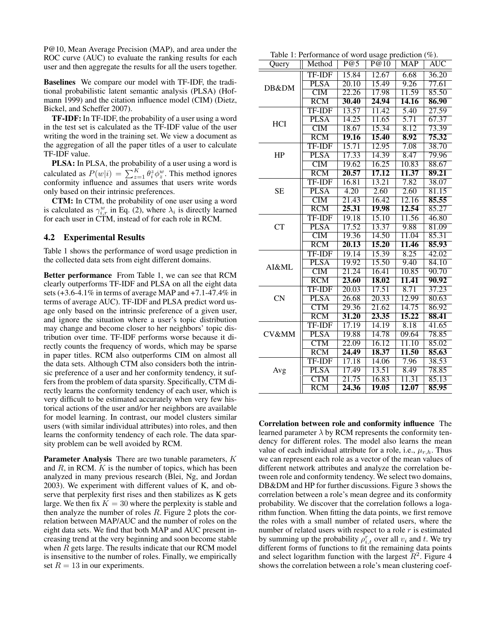P@10, Mean Average Precision (MAP), and area under the ROC curve (AUC) to evaluate the ranking results for each user and then aggregate the results for all the users together.

Baselines We compare our model with TF-IDF, the traditional probabilistic latent semantic analysis (PLSA) (Hofmann 1999) and the citation influence model (CIM) (Dietz, Bickel, and Scheffer 2007).

TF-IDF: In TF-IDF, the probability of a user using a word in the test set is calculated as the TF-IDF value of the user writing the word in the training set. We view a document as the aggregation of all the paper titles of a user to calculate TF-IDF value.

PLSA: In PLSA, the probability of a user using a word is calculated as  $P(w|i) = \sum_{z=1}^{K} \theta_i^z \phi_z^w$ . This method ignores conformity influence and assumes that users write words only based on their intrinsic preferences.

CTM: In CTM, the probability of one user using a word is calculated as  $\gamma_{i,r}^w$  in Eq. (2), where  $\lambda_i$  is directly learned for each user in CTM, instead of for each role in RCM.

#### 4.2 Experimental Results

Table 1 shows the performance of word usage prediction in the collected data sets from eight different domains.

Better performance From Table 1, we can see that RCM clearly outperforms TF-IDF and PLSA on all the eight data sets (+3.6-4.1% in terms of average MAP and +7.1-47.4% in terms of average AUC). TF-IDF and PLSA predict word usage only based on the intrinsic preference of a given user, and ignore the situation where a user's topic distribution may change and become closer to her neighbors' topic distribution over time. TF-IDF performs worse because it directly counts the frequency of words, which may be sparse in paper titles. RCM also outperforms CIM on almost all the data sets. Although CTM also considers both the intrinsic preference of a user and her conformity tendency, it suffers from the problem of data sparsity. Specifically, CTM directly learns the conformity tendency of each user, which is very difficult to be estimated accurately when very few historical actions of the user and/or her neighbors are available for model learning. In contrast, our model clusters similar users (with similar individual attributes) into roles, and then learns the conformity tendency of each role. The data sparsity problem can be well avoided by RCM.

Parameter Analysis There are two tunable parameters, K and  $R$ , in RCM.  $K$  is the number of topics, which has been analyzed in many previous research (Blei, Ng, and Jordan 2003). We experiment with different values of K, and observe that perplexity first rises and then stabilizes as K gets large. We then fix  $K = 30$  where the perplexity is stable and then analyze the number of roles R. Figure 2 plots the correlation between MAP/AUC and the number of roles on the eight data sets. We find that both MAP and AUC present increasing trend at the very beginning and soon become stable when  $R$  gets large. The results indicate that our RCM model is insensitive to the number of roles. Finally, we empirically set  $R = 13$  in our experiments.

| Query      | Method                  | P@5                | P@10  | MAP   | <b>AUC</b>         |
|------------|-------------------------|--------------------|-------|-------|--------------------|
| DB&DM      | <b>TF-IDF</b>           | 15.84              | 12.67 | 6.68  | 36.20              |
|            | <b>PLSA</b>             | 20.10              | 15.49 | 9.26  | 77.61              |
|            | $\overline{\text{CIM}}$ | 22.26              | 17.98 | 11.59 | 85.50              |
|            | $\overline{RCM}$        | 30.40              | 24.94 | 14.16 | 86.90              |
| <b>HCI</b> | <b>TF-IDF</b>           | 13.57              | 11.42 | 5.40  | 27.59              |
|            | <b>PLSA</b>             | 14.25              | 11.65 | 5.71  | 67.37              |
|            | $\overline{\text{CIM}}$ | 18.67              | 15.34 | 8.12  | 73.39              |
|            | $\overline{RCM}$        | 19.16              | 15.40 | 8.92  | 75.32              |
| HP         | <b>TF-IDF</b>           | 15.71              | 12.95 | 7.08  | 38.70              |
|            | <b>PLSA</b>             | 17.33              | 14.39 | 8.47  | 79.96              |
|            | $\overline{\text{CIM}}$ | 19.62              | 16.25 | 10.83 | 88.67              |
|            | $\overline{RCM}$        | 20.57              | 17.12 | 11.37 | 89.21              |
| <b>SE</b>  | <b>TF-IDF</b>           | 16.81              | 13.21 | 7.82  | 38.07              |
|            | <b>PLSA</b>             | 4.20               | 2.60  | 2.60  | 81.15              |
|            | CIM                     | 21.43              | 16.42 | 12.16 | 85.55              |
|            | $\overline{RCM}$        | 25.31              | 19.98 | 12.54 | 85.27              |
| <b>CT</b>  | <b>TF-IDF</b>           | 19.18              | 15.10 | 11.56 | 46.80              |
|            | <b>PLSA</b>             | 17.52              | 13.37 | 9.88  | 81.09              |
|            | $\overline{\text{CIM}}$ | 19.36              | 14.50 | 11.04 | 85.31              |
|            | RCM                     | 20.13              | 15.20 | 11.46 | 85.93              |
| AI&ML      | <b>TF-IDF</b>           | 19.14              | 15.39 | 8.25  | 42.02              |
|            | <b>PLSA</b>             | 19.92              | 15.50 | 9.40  | 84.10              |
|            | $\overline{\text{CM}}$  | 21.24              | 16.41 | 10.85 | 90.70              |
|            | RCM                     | 23.60              | 18.02 | 11.41 | 90.92              |
| <b>CN</b>  | <b>TF-IDF</b>           | $\overline{20.03}$ | 17.51 | 8.71  | $\overline{37.23}$ |
|            | <b>PLSA</b>             | 26.68              | 20.33 | 12.99 | 80.63              |
|            | <b>CTM</b>              | 29.36              | 21.62 | 14.75 | 86.92              |
|            | RCM                     | 31.20              | 23.35 | 15.22 | 88.41              |
| CV&MM      | <b>TF-IDF</b>           | 17.19              | 14.19 | 8.18  | 41.65              |
|            | <b>PLSA</b>             | 19.88              | 14.78 | 09.64 | 78.85              |
|            | <b>CTM</b>              | 22.09              | 16.12 | 11.10 | 85.02              |
|            | $\overline{RCM}$        | 24.49              | 18.37 | 11.50 | 85.63              |
| Avg        | <b>TF-IDF</b>           | 17.18              | 14.06 | 7.96  | 38.53              |
|            | <b>PLSA</b>             | 17.49              | 13.51 | 8.49  | 78.85              |
|            | <b>CTM</b>              | 21.75              | 16.83 | 11.31 | 85.13              |
|            | $\overline{RCM}$        | 24.36              | 19.05 | 12.07 | 85.95              |

Correlation between role and conformity influence The learned parameter  $\lambda$  by RCM represents the conformity tendency for different roles. The model also learns the mean value of each individual attribute for a role, i.e.,  $\mu_{r,h}$ . Thus we can represent each role as a vector of the mean values of different network attributes and analyze the correlation between role and conformity tendency. We select two domains, DB&DM and HP for further discussions. Figure 3 shows the correlation between a role's mean degree and its conformity probability. We discover that the correlation follows a logarithm function. When fitting the data points, we first remove the roles with a small number of related users, where the number of related users with respect to a role  $r$  is estimated by summing up the probability  $\rho_{i,t}^r$  over all  $v_i$  and t. We try different forms of functions to fit the remaining data points and select logarithm function with the largest  $\mathbb{R}^2$ . Figure 4 shows the correlation between a role's mean clustering coef-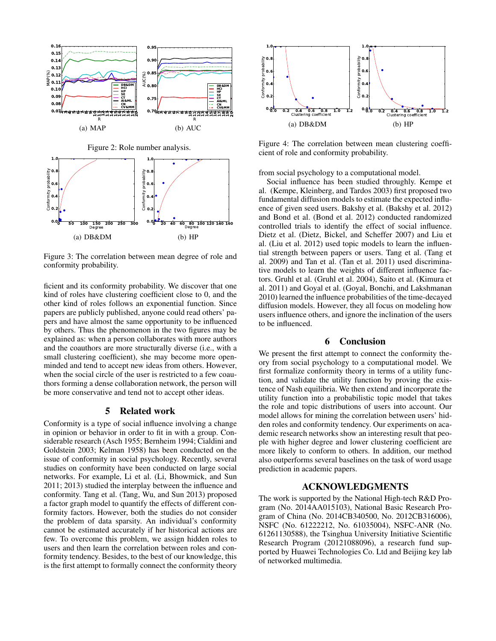



Figure 3: The correlation between mean degree of role and conformity probability.

ficient and its conformity probability. We discover that one kind of roles have clustering coefficient close to 0, and the other kind of roles follows an exponential function. Since papers are publicly published, anyone could read others' papers and have almost the same opportunity to be influenced by others. Thus the phenomenon in the two figures may be explained as: when a person collaborates with more authors and the coauthors are more structurally diverse (i.e., with a small clustering coefficient), she may become more openminded and tend to accept new ideas from others. However, when the social circle of the user is restricted to a few coauthors forming a dense collaboration network, the person will be more conservative and tend not to accept other ideas.

### 5 Related work

Conformity is a type of social influence involving a change in opinion or behavior in order to fit in with a group. Considerable research (Asch 1955; Bernheim 1994; Cialdini and Goldstein 2003; Kelman 1958) has been conducted on the issue of conformity in social psychology. Recently, several studies on conformity have been conducted on large social networks. For example, Li et al. (Li, Bhowmick, and Sun 2011; 2013) studied the interplay between the influence and conformity. Tang et al. (Tang, Wu, and Sun 2013) proposed a factor graph model to quantify the effects of different conformity factors. However, both the studies do not consider the problem of data sparsity. An individual's conformity cannot be estimated accurately if her historical actions are few. To overcome this problem, we assign hidden roles to users and then learn the correlation between roles and conformity tendency. Besides, to the best of our knowledge, this is the first attempt to formally connect the conformity theory



Figure 4: The correlation between mean clustering coefficient of role and conformity probability.

from social psychology to a computational model.

Social influence has been studied throughly. Kempe et al. (Kempe, Kleinberg, and Tardos 2003) first proposed two fundamental diffusion models to estimate the expected influence of given seed users. Bakshy et al. (Bakshy et al. 2012) and Bond et al. (Bond et al. 2012) conducted randomized controlled trials to identify the effect of social influence. Dietz et al. (Dietz, Bickel, and Scheffer 2007) and Liu et al. (Liu et al. 2012) used topic models to learn the influential strength between papers or users. Tang et al. (Tang et al. 2009) and Tan et al. (Tan et al. 2011) used discriminative models to learn the weights of different influence factors. Gruhl et al. (Gruhl et al. 2004), Saito et al. (Kimura et al. 2011) and Goyal et al. (Goyal, Bonchi, and Lakshmanan 2010) learned the influence probabilities of the time-decayed diffusion models. However, they all focus on modeling how users influence others, and ignore the inclination of the users to be influenced.

#### 6 Conclusion

We present the first attempt to connect the conformity theory from social psychology to a computational model. We first formalize conformity theory in terms of a utility function, and validate the utility function by proving the existence of Nash equilibria. We then extend and incorporate the utility function into a probabilistic topic model that takes the role and topic distributions of users into account. Our model allows for mining the correlation between users' hidden roles and conformity tendency. Our experiments on academic research networks show an interesting result that people with higher degree and lower clustering coefficient are more likely to conform to others. In addition, our method also outperforms several baselines on the task of word usage prediction in academic papers.

#### ACKNOWLEDGMENTS

The work is supported by the National High-tech R&D Program (No. 2014AA015103), National Basic Research Program of China (No. 2014CB340500, No. 2012CB316006), NSFC (No. 61222212, No. 61035004), NSFC-ANR (No. 61261130588), the Tsinghua University Initiative Scientific Research Program (20121088096), a research fund supported by Huawei Technologies Co. Ltd and Beijing key lab of networked multimedia.